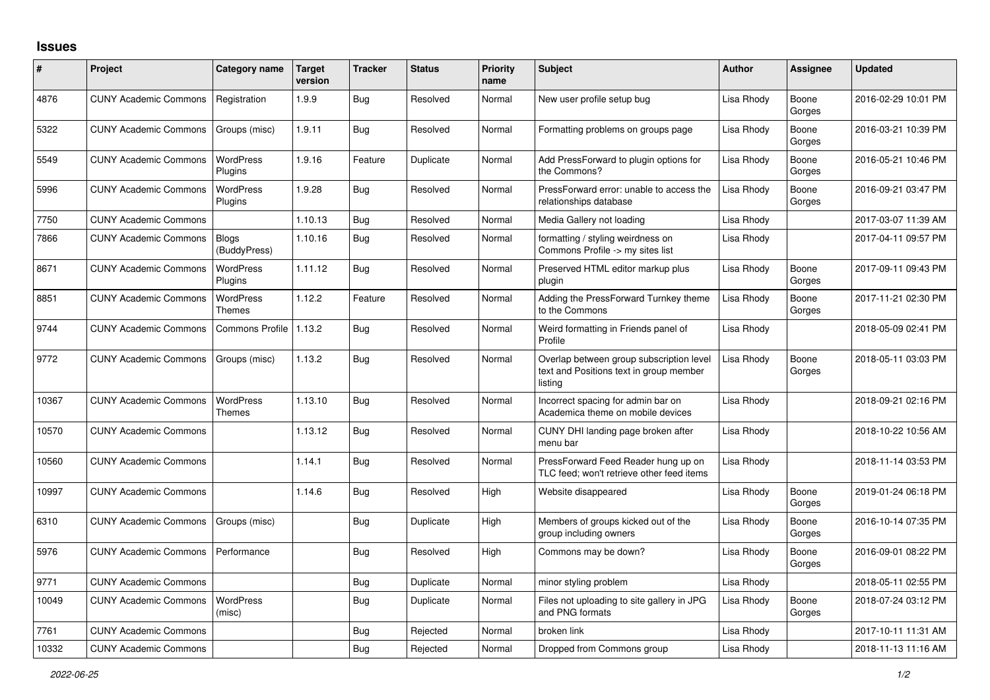## **Issues**

| #     | Project                      | Category name                | Target<br>version | <b>Tracker</b> | <b>Status</b> | Priority<br>name | <b>Subject</b>                                                                                 | <b>Author</b> | <b>Assignee</b> | <b>Updated</b>      |
|-------|------------------------------|------------------------------|-------------------|----------------|---------------|------------------|------------------------------------------------------------------------------------------------|---------------|-----------------|---------------------|
| 4876  | <b>CUNY Academic Commons</b> | Registration                 | 1.9.9             | Bug            | Resolved      | Normal           | New user profile setup bug                                                                     | Lisa Rhody    | Boone<br>Gorges | 2016-02-29 10:01 PM |
| 5322  | <b>CUNY Academic Commons</b> | Groups (misc)                | 1.9.11            | Bug            | Resolved      | Normal           | Formatting problems on groups page                                                             | Lisa Rhody    | Boone<br>Gorges | 2016-03-21 10:39 PM |
| 5549  | <b>CUNY Academic Commons</b> | <b>WordPress</b><br>Plugins  | 1.9.16            | Feature        | Duplicate     | Normal           | Add PressForward to plugin options for<br>the Commons?                                         | Lisa Rhody    | Boone<br>Gorges | 2016-05-21 10:46 PM |
| 5996  | <b>CUNY Academic Commons</b> | WordPress<br>Plugins         | 1.9.28            | Bug            | Resolved      | Normal           | PressForward error: unable to access the<br>relationships database                             | Lisa Rhody    | Boone<br>Gorges | 2016-09-21 03:47 PM |
| 7750  | <b>CUNY Academic Commons</b> |                              | 1.10.13           | Bug            | Resolved      | Normal           | Media Gallery not loading                                                                      | Lisa Rhody    |                 | 2017-03-07 11:39 AM |
| 7866  | <b>CUNY Academic Commons</b> | <b>Blogs</b><br>(BuddyPress) | 1.10.16           | Bug            | Resolved      | Normal           | formatting / styling weirdness on<br>Commons Profile -> my sites list                          | Lisa Rhody    |                 | 2017-04-11 09:57 PM |
| 8671  | <b>CUNY Academic Commons</b> | WordPress<br>Plugins         | 1.11.12           | Bug            | Resolved      | Normal           | Preserved HTML editor markup plus<br>plugin                                                    | Lisa Rhody    | Boone<br>Gorges | 2017-09-11 09:43 PM |
| 8851  | <b>CUNY Academic Commons</b> | WordPress<br><b>Themes</b>   | 1.12.2            | Feature        | Resolved      | Normal           | Adding the PressForward Turnkey theme<br>to the Commons                                        | Lisa Rhody    | Boone<br>Gorges | 2017-11-21 02:30 PM |
| 9744  | <b>CUNY Academic Commons</b> | Commons Profile   1.13.2     |                   | Bug            | Resolved      | Normal           | Weird formatting in Friends panel of<br>Profile                                                | Lisa Rhody    |                 | 2018-05-09 02:41 PM |
| 9772  | <b>CUNY Academic Commons</b> | Groups (misc)                | 1.13.2            | Bug            | Resolved      | Normal           | Overlap between group subscription level<br>text and Positions text in group member<br>listing | Lisa Rhody    | Boone<br>Gorges | 2018-05-11 03:03 PM |
| 10367 | <b>CUNY Academic Commons</b> | <b>WordPress</b><br>Themes   | 1.13.10           | Bug            | Resolved      | Normal           | Incorrect spacing for admin bar on<br>Academica theme on mobile devices                        | Lisa Rhody    |                 | 2018-09-21 02:16 PM |
| 10570 | <b>CUNY Academic Commons</b> |                              | 1.13.12           | <b>Bug</b>     | Resolved      | Normal           | CUNY DHI landing page broken after<br>menu bar                                                 | Lisa Rhody    |                 | 2018-10-22 10:56 AM |
| 10560 | <b>CUNY Academic Commons</b> |                              | 1.14.1            | <b>Bug</b>     | Resolved      | Normal           | PressForward Feed Reader hung up on<br>TLC feed; won't retrieve other feed items               | Lisa Rhody    |                 | 2018-11-14 03:53 PM |
| 10997 | <b>CUNY Academic Commons</b> |                              | 1.14.6            | <b>Bug</b>     | Resolved      | High             | Website disappeared                                                                            | Lisa Rhody    | Boone<br>Gorges | 2019-01-24 06:18 PM |
| 6310  | <b>CUNY Academic Commons</b> | Groups (misc)                |                   | <b>Bug</b>     | Duplicate     | High             | Members of groups kicked out of the<br>group including owners                                  | Lisa Rhody    | Boone<br>Gorges | 2016-10-14 07:35 PM |
| 5976  | <b>CUNY Academic Commons</b> | Performance                  |                   | <b>Bug</b>     | Resolved      | High             | Commons may be down?                                                                           | Lisa Rhody    | Boone<br>Gorges | 2016-09-01 08:22 PM |
| 9771  | <b>CUNY Academic Commons</b> |                              |                   | <b>Bug</b>     | Duplicate     | Normal           | minor styling problem                                                                          | Lisa Rhody    |                 | 2018-05-11 02:55 PM |
| 10049 | <b>CUNY Academic Commons</b> | WordPress<br>(misc)          |                   | Bug            | Duplicate     | Normal           | Files not uploading to site gallery in JPG<br>and PNG formats                                  | Lisa Rhody    | Boone<br>Gorges | 2018-07-24 03:12 PM |
| 7761  | <b>CUNY Academic Commons</b> |                              |                   | Bug            | Rejected      | Normal           | broken link                                                                                    | Lisa Rhody    |                 | 2017-10-11 11:31 AM |
| 10332 | <b>CUNY Academic Commons</b> |                              |                   | <b>Bug</b>     | Rejected      | Normal           | Dropped from Commons group                                                                     | Lisa Rhody    |                 | 2018-11-13 11:16 AM |